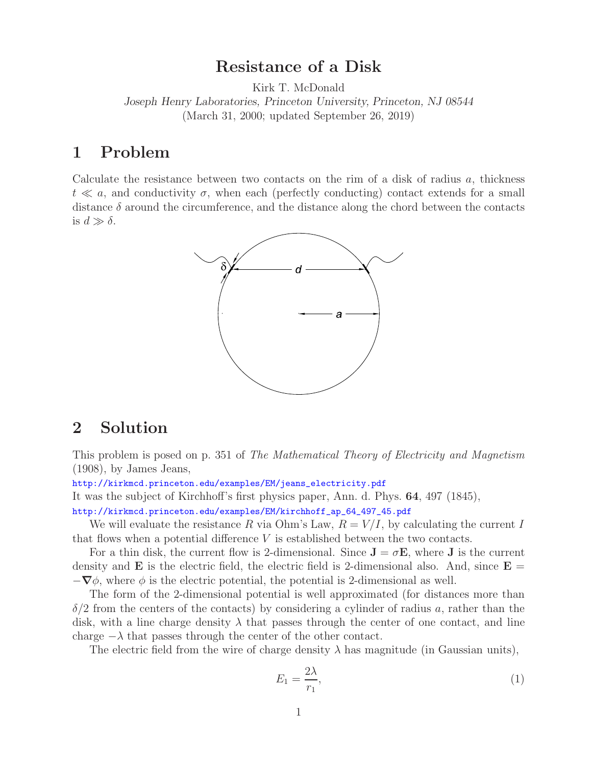## **Resistance of a Disk**

Kirk T. McDonald

*Joseph Henry Laboratories, Princeton University, Princeton, NJ 08544* (March 31, 2000; updated September 26, 2019)

## **1 Problem**

Calculate the resistance between two contacts on the rim of a disk of radius  $a$ , thickness  $t \ll a$ , and conductivity  $\sigma$ , when each (perfectly conducting) contact extends for a small distance  $\delta$  around the circumference, and the distance along the chord between the contacts is  $d \gg \delta$ .



## **2 Solution**

This problem is posed on p. 351 of *The Mathematical Theory of Electricity and Magnetism* (1908), by James Jeans,

http://kirkmcd.princeton.edu/examples/EM/jeans\_electricity.pdf

It was the subject of Kirchhoff's first physics paper, Ann. d. Phys. **64**, 497 (1845),

http://kirkmcd.princeton.edu/examples/EM/kirchhoff\_ap\_64\_497\_45.pdf

We will evaluate the resistance R via Ohm's Law,  $R = V/I$ , by calculating the current I that flows when a potential difference  $V$  is established between the two contacts.

For a thin disk, the current flow is 2-dimensional. Since  $J = \sigma E$ , where J is the current density and **E** is the electric field, the electric field is 2-dimensional also. And, since  $\mathbf{E} =$  $-\nabla\phi$ , where  $\phi$  is the electric potential, the potential is 2-dimensional as well.

The form of the 2-dimensional potential is well approximated (for distances more than  $\delta/2$  from the centers of the contacts) by considering a cylinder of radius a, rather than the disk, with a line charge density  $\lambda$  that passes through the center of one contact, and line charge  $-\lambda$  that passes through the center of the other contact.

The electric field from the wire of charge density  $\lambda$  has magnitude (in Gaussian units),

$$
E_1 = \frac{2\lambda}{r_1},\tag{1}
$$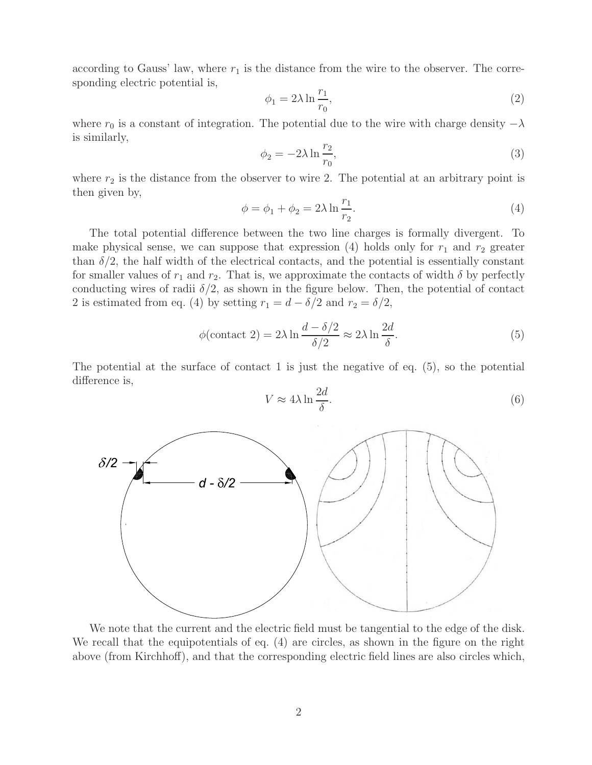according to Gauss' law, where  $r_1$  is the distance from the wire to the observer. The corresponding electric potential is,

$$
\phi_1 = 2\lambda \ln \frac{r_1}{r_0},\tag{2}
$$

where  $r_0$  is a constant of integration. The potential due to the wire with charge density  $-\lambda$ is similarly,

$$
\phi_2 = -2\lambda \ln \frac{r_2}{r_0},\tag{3}
$$

where  $r_2$  is the distance from the observer to wire 2. The potential at an arbitrary point is then given by,

$$
\phi = \phi_1 + \phi_2 = 2\lambda \ln \frac{r_1}{r_2}.
$$
\n(4)

The total potential difference between the two line charges is formally divergent. To make physical sense, we can suppose that expression (4) holds only for  $r_1$  and  $r_2$  greater than  $\delta/2$ , the half width of the electrical contacts, and the potential is essentially constant for smaller values of  $r_1$  and  $r_2$ . That is, we approximate the contacts of width  $\delta$  by perfectly conducting wires of radii  $\delta/2$ , as shown in the figure below. Then, the potential of contact 2 is estimated from eq. (4) by setting  $r_1 = d - \delta/2$  and  $r_2 = \delta/2$ ,

$$
\phi(\text{contact 2}) = 2\lambda \ln \frac{d - \delta/2}{\delta/2} \approx 2\lambda \ln \frac{2d}{\delta}.\tag{5}
$$

The potential at the surface of contact 1 is just the negative of eq.  $(5)$ , so the potential difference is,

$$
V \approx 4\lambda \ln \frac{2d}{\delta}.\tag{6}
$$



We note that the current and the electric field must be tangential to the edge of the disk. We recall that the equipotentials of eq. (4) are circles, as shown in the figure on the right above (from Kirchhoff), and that the corresponding electric field lines are also circles which,